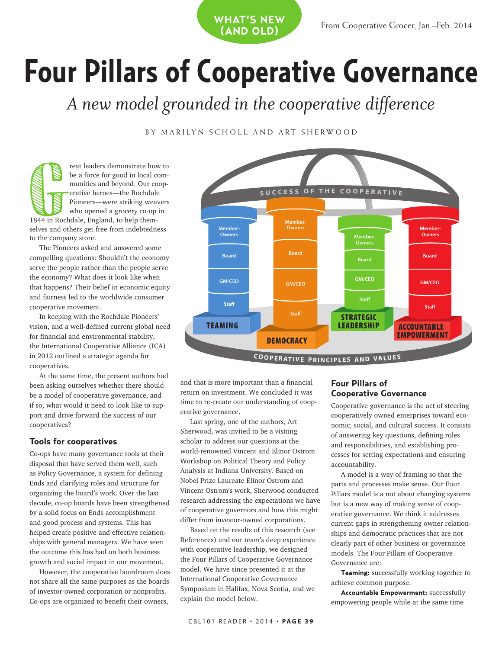**Four Pillars of Cooperative Governance**

*A new model grounded in the cooperative difference*

**what's new (and old)**

# BY MARILYN SCHOLL AND ART SHERWOOD

reat leaders demonstrate how to be a force for good in local communities and beyond. Our cooperative heroes—the Rochdale Pioneers—were striking weavers who opened a grocery co-op in 1844 in Rochdale, England, to help themselves and others get free from indebtedness to the company store. **Graduate School Serves**<br>1844 in Roc

The Pioneers asked and answered some compelling questions: Shouldn't the economy serve the people rather than the people serve the economy? What does it look like when that happens? Their belief in economic equity and fairness led to the worldwide consumer cooperative movement.

In keeping with the Rochdale Pioneers' vision, and a well-defined current global need for financial and environmental stability, the International Cooperative Alliance (ICA) in 2012 outlined a strategic agenda for cooperatives.

At the same time, the present authors had been asking ourselves whether there should be a model of cooperative governance, and if so, what would it need to look like to support and drive forward the success of our cooperatives?

#### **Tools for cooperatives**

Co-ops have many governance tools at their disposal that have served them well, such as Policy Governance, a system for defining Ends and clarifying roles and structure for organizing the board's work. Over the last decade, co-op boards have been strengthened by a solid focus on Ends accomplishment and good process and systems. This has helped create positive and effective relationships with general managers. We have seen the outcome this has had on both business growth and social impact in our movement.

However, the cooperative boardroom does not share all the same purposes as the boards of investor-owned corporation or nonprofits. Co-ops are organized to benefit their owners,



and that is more important than a financial return on investment. We concluded it was time to re-create our understanding of cooperative governance.

Last spring, one of the authors, Art Sherwood, was invited to be a visiting scholar to address our questions at the world-renowned Vincent and Elinor Ostrom Workshop on Political Theory and Policy Analysis at Indiana University. Based on Nobel Prize Laureate Elinor Ostrom and Vincent Ostrom's work, Sherwood conducted research addressing the expectations we have of cooperative governors and how this might differ from investor-owned corporations.

Based on the results of this research (see References) and our team's deep experience with cooperative leadership, we designed the Four Pillars of Cooperative Governance model. We have since presented it at the International Cooperative Governance Symposium in Halifax, Nova Scotia, and we explain the model below.

# **Four Pillars of Cooperative Governance**

Cooperative governance is the act of steering cooperatively owned enterprises toward economic, social, and cultural success. It consists of answering key questions, defining roles and responsibilities, and establishing processes for setting expectations and ensuring accountability.

A model is a way of framing so that the parts and processes make sense. Our Four Pillars model is a not about changing systems but is a new way of making sense of cooperative governance. We think it addresses current gaps in strengthening owner relationships and democratic practices that are not clearly part of other business or governance models. The Four Pillars of Cooperative Governance are:

**Teaming:** successfully working together to achieve common purpose.

**Accountable Empowerment:** successfully empowering people while at the same time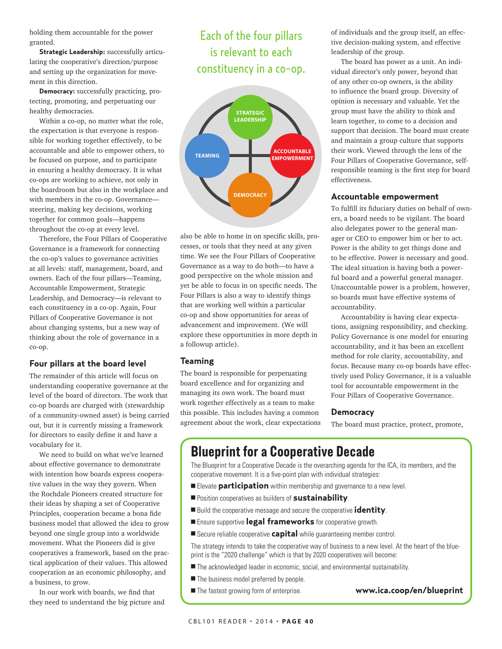holding them accountable for the power granted.

**Strategic Leadership:** successfully articulating the cooperative's direction/purpose and setting up the organization for movement in this direction.

**Democracy:** successfully practicing, protecting, promoting, and perpetuating our healthy democracies.

Within a co-op, no matter what the role, the expectation is that everyone is responsible for working together effectively, to be accountable and able to empower others, to be focused on purpose, and to participate in ensuring a healthy democracy. It is what co-ops are working to achieve, not only in the boardroom but also in the workplace and with members in the co-op. Governance steering, making key decisions, working together for common goals—happens throughout the co-op at every level.

Therefore, the Four Pillars of Cooperative Governance is a framework for connecting the co-op's values to governance activities at all levels: staff, management, board, and owners. Each of the four pillars—Teaming, Accountable Empowerment, Strategic Leadership, and Democracy—is relevant to each constituency in a co-op. Again, Four Pillars of Cooperative Governance is not about changing systems, but a new way of thinking about the role of governance in a co-op.

# **Four pillars at the board level**

The remainder of this article will focus on understanding cooperative governance at the level of the board of directors. The work that co-op boards are charged with (stewardship of a community-owned asset) is being carried out, but it is currently missing a framework for directors to easily define it and have a vocabulary for it.

We need to build on what we've learned about effective governance to demonstrate with intention how boards express cooperative values in the way they govern. When the Rochdale Pioneers created structure for their ideas by shaping a set of Cooperative Principles, cooperation became a bona fide business model that allowed the idea to grow beyond one single group into a worldwide movement. What the Pioneers did is give cooperatives a framework, based on the practical application of their values. This allowed cooperation as an economic philosophy, and a business, to grow.

In our work with boards, we find that they need to understand the big picture and

# Each of the four pillars is relevant to each constituency in a co-op.



also be able to home in on specific skills, proalso be able to nome in on specinc skills, pr<br>cesses, or tools that they need at any given time. We see the Four Pillars of Cooperative Governance as a way to do both—to have a good perspective on the whole mission and yet be able to focus in on specific needs. The Four Pillars is also a way to identify things that are working well within a particular co-op and show opportunities for areas of advancement and improvement. (We will explore these opportunities in more depth in a followup article).

#### **Teaming**

The board is responsible for perpetuating board excellence and for organizing and managing its own work. The board must work together effectively as a team to make this possible. This includes having a common agreement about the work, clear expectations of individuals and the group itself, an effective decision-making system, and effective leadership of the group.

The board has power as a unit. An individual director's only power, beyond that of any other co-op owners, is the ability to influence the board group. Diversity of opinion is necessary and valuable. Yet the group must have the ability to think and learn together, to come to a decision and support that decision. The board must create and maintain a group culture that supports their work. Viewed through the lens of the Four Pillars of Cooperative Governance, selfresponsible teaming is the first step for board effectiveness.

#### **Accountable empowerment**

To fulfill its fiduciary duties on behalf of owners, a board needs to be vigilant. The board also delegates power to the general manager or CEO to empower him or her to act. Power is the ability to get things done and to be effective. Power is necessary and good. The ideal situation is having both a powerful board and a powerful general manager. Unaccountable power is a problem, however, so boards must have effective systems of accountability.

Accountability is having clear expectations, assigning responsibility, and checking. Policy Governance is one model for ensuring accountability, and it has been an excellent method for role clarity, accountability, and focus. Because many co-op boards have effectively used Policy Governance, it is a valuable tool for accountable empowerment in the Four Pillars of Cooperative Governance.

#### **Democracy**

The board must practice, protect, promote,

# **Blueprint for a Cooperative Decade**

The Blueprint for a Cooperative Decade is the overarching agenda for the ICA, its members, and the cooperative movement. It is a five-point plan with individual strategies:

- **Elevate participation** within membership and governance to a new level.
- <sup>n</sup> Position cooperatives as builders of **sustainability**.
- Build the cooperative message and secure the cooperative **identity**.
- <sup>n</sup> Ensure supportive **legal frameworks** for cooperative growth.
- Secure reliable cooperative **capital** while quaranteeing member control.

The strategy intends to take the cooperative way of business to a new level. At the heart of the blueprint is the "2020 challenge" which is that by 2020 cooperatives will become:

- $\blacksquare$  The acknowledged leader in economic, social, and environmental sustainability.
- $\blacksquare$  The business model preferred by people.
- <sup>n</sup> The fastest growing form of enterprise. **www.ica.coop/en/blueprint**
	-